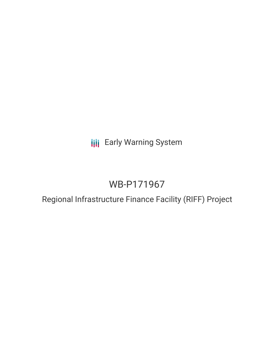# **III** Early Warning System

# WB-P171967

# Regional Infrastructure Finance Facility (RIFF) Project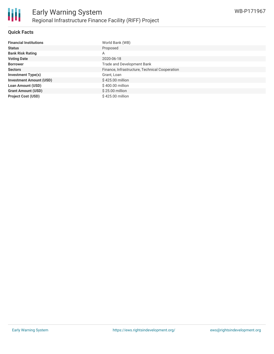#### **Quick Facts**

| <b>Financial Institutions</b>  | World Bank (WB)                                |
|--------------------------------|------------------------------------------------|
| <b>Status</b>                  | Proposed                                       |
| <b>Bank Risk Rating</b>        | A                                              |
| <b>Voting Date</b>             | 2020-06-18                                     |
| <b>Borrower</b>                | Trade and Development Bank                     |
| <b>Sectors</b>                 | Finance, Infrastructure, Technical Cooperation |
| <b>Investment Type(s)</b>      | Grant, Loan                                    |
| <b>Investment Amount (USD)</b> | \$425.00 million                               |
| <b>Loan Amount (USD)</b>       | \$400.00 million                               |
| <b>Grant Amount (USD)</b>      | $$25.00$ million                               |
| <b>Project Cost (USD)</b>      | \$425.00 million                               |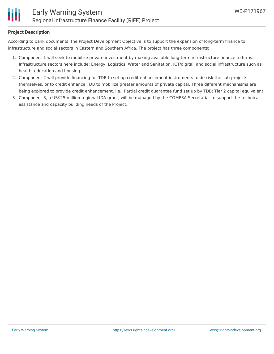

#### **Project Description**

According to bank documents, the Project Development Objective is to support the expansion of long-term finance to infrastructure and social sectors in Eastern and Southern Africa. The project has three components:

- 1. Component 1 will seek to mobilize private investment by making available long-term infrastructure finance to firms. Infrastructure sectors here include: Energy, Logistics, Water and Sanitation, ICT/digital, and social infrastructure such as health, education and housing.
- 2. Component 2 will provide financing for TDB to set up credit enhancement instruments to de-risk the sub-projects themselves, or to credit enhance TDB to mobilize greater amounts of private capital. Three different mechanisms are being explored to provide credit enhancement, i.e.: Partial credit guarantee fund set up by TDB; Tier 2 capital equivalent.
- 3. Component 3, a US\$25 million regional IDA grant, will be managed by the COMESA Secretariat to support the technical assistance and capacity building needs of the Project.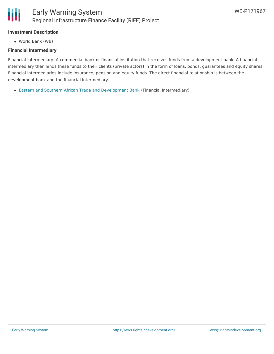## **Investment Description**

World Bank (WB)

#### **Financial Intermediary**

Financial Intermediary: A commercial bank or financial institution that receives funds from a development bank. A financial intermediary then lends these funds to their clients (private actors) in the form of loans, bonds, guarantees and equity shares. Financial intermediaries include insurance, pension and equity funds. The direct financial relationship is between the development bank and the financial intermediary.

Eastern and Southern African Trade and [Development](file:///actor/1541/) Bank (Financial Intermediary)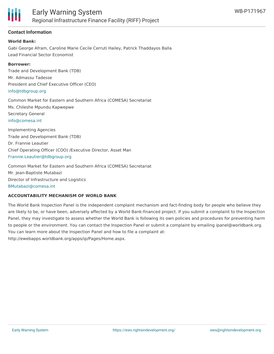

### **Contact Information**

#### **World Bank:**

Gabi George Afram, Caroline Marie Cecile Cerruti Hailey, Patrick Thaddayos Balla Lead Financial Sector Economist

#### **Borrower:**

Trade and Development Bank (TDB) Mr. Admassu Tadesse President and Chief Executive Officer (CEO) [info@tdbgroup.org](mailto:info@tdbgroup.org)

Common Market for Eastern and Southern Africa (COMESA) Secretariat Ms. Chileshe Mpundu Kapwepwe Secretary General [info@comesa.int](mailto:info@comesa.int)

Implementing Agencies Trade and Development Bank (TDB) Dr. Frannie Leautier Chief Operating Officer (COO) /Executive Director, Asset Man [Frannie.Leautier@tdbgroup.org](mailto:Frannie.Leautier@tdbgroup.org)

Common Market for Eastern and Southern Africa (COMESA) Secretariat Mr. Jean-Baptiste Mutabazi Director of Infrastructure and Logistics [BMutabazi@comesa.int](mailto:BMutabazi@comesa.int)

#### **ACCOUNTABILITY MECHANISM OF WORLD BANK**

The World Bank Inspection Panel is the independent complaint mechanism and fact-finding body for people who believe they are likely to be, or have been, adversely affected by a World Bank-financed project. If you submit a complaint to the Inspection Panel, they may investigate to assess whether the World Bank is following its own policies and procedures for preventing harm to people or the environment. You can contact the Inspection Panel or submit a complaint by emailing ipanel@worldbank.org. You can learn more about the Inspection Panel and how to file a complaint at: http://ewebapps.worldbank.org/apps/ip/Pages/Home.aspx.